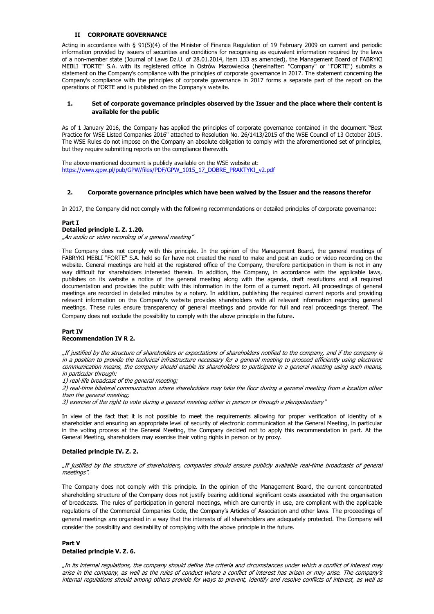### **II CORPORATE GOVERNANCE**

Acting in accordance with § 91(5)(4) of the Minister of Finance Regulation of 19 February 2009 on current and periodic information provided by issuers of securities and conditions for recognising as equivalent information required by the laws of a non-member state (Journal of Laws Dz.U. of 28.01.2014, item 133 as amended), the Management Board of FABRYKI MEBLI "FORTE" S.A. with its registered office in Ostrów Mazowiecka (hereinafter: "Company" or "FORTE") submits a statement on the Company's compliance with the principles of corporate governance in 2017. The statement concerning the Company's compliance with the principles of corporate governance in 2017 forms a separate part of the report on the operations of FORTE and is published on the Company's website.

#### **1. Set of corporate governance principles observed by the Issuer and the place where their content is available for the public**

As of 1 January 2016, the Company has applied the principles of corporate governance contained in the document "Best Practice for WSE Listed Companies 2016" attached to Resolution No. 26/1413/2015 of the WSE Council of 13 October 2015. The WSE Rules do not impose on the Company an absolute obligation to comply with the aforementioned set of principles, but they require submitting reports on the compliance therewith.

The above-mentioned document is publicly available on the WSE website at: [https://www.gpw.pl/pub/GPW/files/PDF/GPW\\_1015\\_17\\_DOBRE\\_PRAKTYKI\\_v2.pdf](https://www.gpw.pl/pub/GPW/files/PDF/GPW_1015_17_DOBRE_PRAKTYKI_v2.pdf)

#### **2. Corporate governance principles which have been waived by the Issuer and the reasons therefor**

In 2017, the Company did not comply with the following recommendations or detailed principles of corporate governance:

#### **Part I**

#### **Detailed principle I. Z. 1.20.**

"An audio or video recording of a general meeting"

The Company does not comply with this principle. In the opinion of the Management Board, the general meetings of FABRYKI MEBLI "FORTE" S.A. held so far have not created the need to make and post an audio or video recording on the website. General meetings are held at the registered office of the Company, therefore participation in them is not in any way difficult for shareholders interested therein. In addition, the Company, in accordance with the applicable laws, publishes on its website a notice of the general meeting along with the agenda, draft resolutions and all required documentation and provides the public with this information in the form of a current report. All proceedings of general meetings are recorded in detailed minutes by a notary. In addition, publishing the required current reports and providing relevant information on the Company's website provides shareholders with all relevant information regarding general meetings. These rules ensure transparency of general meetings and provide for full and real proceedings thereof. The Company does not exclude the possibility to comply with the above principle in the future.

#### **Part IV Recommendation IV R 2.**

"If justified by the structure of shareholders or expectations of shareholders notified to the company, and if the company is in a position to provide the technical infrastructure necessary for a general meeting to proceed efficiently using electronic communication means, the company should enable its shareholders to participate in a general meeting using such means, in particular through:

1) real-life broadcast of the general meeting;

2) real-time bilateral communication where shareholders may take the floor during a general meeting from a location other than the general meeting;

3) exercise of the right to vote during a general meeting either in person or through a plenipotentiary"

In view of the fact that it is not possible to meet the requirements allowing for proper verification of identity of a shareholder and ensuring an appropriate level of security of electronic communication at the General Meeting, in particular in the voting process at the General Meeting, the Company decided not to apply this recommendation in part. At the General Meeting, shareholders may exercise their voting rights in person or by proxy.

#### **Detailed principle IV. Z. 2.**

#### "If justified by the structure of shareholders, companies should ensure publicly available real-time broadcasts of general meetings".

The Company does not comply with this principle. In the opinion of the Management Board, the current concentrated shareholding structure of the Company does not justify bearing additional significant costs associated with the organisation of broadcasts. The rules of participation in general meetings, which are currently in use, are compliant with the applicable regulations of the Commercial Companies Code, the Company's Articles of Association and other laws. The proceedings of general meetings are organised in a way that the interests of all shareholders are adequately protected. The Company will consider the possibility and desirability of complying with the above principle in the future.

# **Part V Detailed principle V. Z. 6.**

"In its internal regulations, the company should define the criteria and circumstances under which a conflict of interest may arise in the company, as well as the rules of conduct where a conflict of interest has arisen or may arise. The company's internal regulations should among others provide for ways to prevent, identify and resolve conflicts of interest, as well as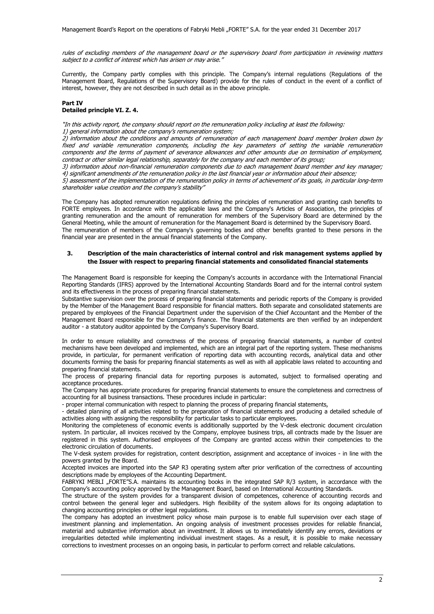rules of excluding members of the management board or the supervisory board from participation in reviewing matters subject to a conflict of interest which has arisen or may arise."

Currently, the Company partly complies with this principle. The Company's internal regulations (Regulations of the Management Board, Regulations of the Supervisory Board) provide for the rules of conduct in the event of a conflict of interest, however, they are not described in such detail as in the above principle.

#### **Part IV Detailed principle VI. Z. 4.**

"In this activity report, the company should report on the remuneration policy including at least the following: 1) general information about the company's remuneration system;

2) information about the conditions and amounts of remuneration of each management board member broken down by fixed and variable remuneration components, including the key parameters of setting the variable remuneration components and the terms of payment of severance allowances and other amounts due on termination of employment, contract or other similar legal relationship, separately for the company and each member of its group;

3) information about non-financial remuneration components due to each management board member and key manager; 4) significant amendments of the remuneration policy in the last financial year or information about their absence;

5) assessment of the implementation of the remuneration policy in terms of achievement of its goals, in particular long-term shareholder value creation and the company's stability"

The Company has adopted remuneration regulations defining the principles of remuneration and granting cash benefits to FORTE employees. In accordance with the applicable laws and the Company's Articles of Association, the principles of granting remuneration and the amount of remuneration for members of the Supervisory Board are determined by the General Meeting, while the amount of remuneration for the Management Board is determined by the Supervisory Board. The remuneration of members of the Company's governing bodies and other benefits granted to these persons in the financial year are presented in the annual financial statements of the Company.

### **3. Description of the main characteristics of internal control and risk management systems applied by the Issuer with respect to preparing financial statements and consolidated financial statements**

The Management Board is responsible for keeping the Company's accounts in accordance with the International Financial Reporting Standards (IFRS) approved by the International Accounting Standards Board and for the internal control system and its effectiveness in the process of preparing financial statements.

Substantive supervision over the process of preparing financial statements and periodic reports of the Company is provided by the Member of the Management Board responsible for financial matters. Both separate and consolidated statements are prepared by employees of the Financial Department under the supervision of the Chief Accountant and the Member of the Management Board responsible for the Company's finance. The financial statements are then verified by an independent auditor - a statutory auditor appointed by the Company's Supervisory Board.

In order to ensure reliability and correctness of the process of preparing financial statements, a number of control mechanisms have been developed and implemented, which are an integral part of the reporting system. These mechanisms provide, in particular, for permanent verification of reporting data with accounting records, analytical data and other documents forming the basis for preparing financial statements as well as with all applicable laws related to accounting and preparing financial statements.

The process of preparing financial data for reporting purposes is automated, subject to formalised operating and acceptance procedures.

The Company has appropriate procedures for preparing financial statements to ensure the completeness and correctness of accounting for all business transactions. These procedures include in particular:

- proper internal communication with respect to planning the process of preparing financial statements,

- detailed planning of all activities related to the preparation of financial statements and producing a detailed schedule of activities along with assigning the responsibility for particular tasks to particular employees.

Monitoring the completeness of economic events is additionally supported by the V-desk electronic document circulation system. In particular, all invoices received by the Company, employee business trips, all contracts made by the Issuer are registered in this system. Authorised employees of the Company are granted access within their competencies to the electronic circulation of documents.

The V-desk system provides for registration, content description, assignment and acceptance of invoices - in line with the powers granted by the Board.

Accepted invoices are imported into the SAP R3 operating system after prior verification of the correctness of accounting descriptions made by employees of the Accounting Department.

FABRYKI MEBLI "FORTE"S.A. maintains its accounting books in the integrated SAP R/3 system, in accordance with the Company's accounting policy approved by the Management Board, based on International Accounting Standards.

The structure of the system provides for a transparent division of competences, coherence of accounting records and control between the general leger and subledgers. High flexibility of the system allows for its ongoing adaptation to changing accounting principles or other legal regulations.

The company has adopted an investment policy whose main purpose is to enable full supervision over each stage of investment planning and implementation. An ongoing analysis of investment processes provides for reliable financial, material and substantive information about an investment. It allows us to immediately identify any errors, deviations or irregularities detected while implementing individual investment stages. As a result, it is possible to make necessary corrections to investment processes on an ongoing basis, in particular to perform correct and reliable calculations.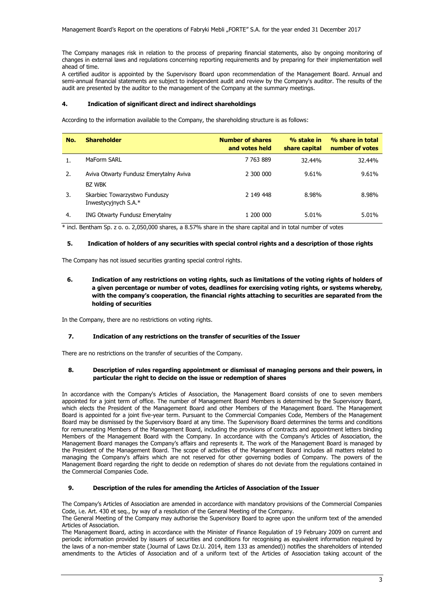The Company manages risk in relation to the process of preparing financial statements, also by ongoing monitoring of changes in external laws and regulations concerning reporting requirements and by preparing for their implementation well ahead of time.

A certified auditor is appointed by the Supervisory Board upon recommendation of the Management Board. Annual and semi-annual financial statements are subject to independent audit and review by the Company's auditor. The results of the audit are presented by the auditor to the management of the Company at the summary meetings.

# **4. Indication of significant direct and indirect shareholdings**

According to the information available to the Company, the shareholding structure is as follows:

| No. | <b>Shareholder</b>                                      | <b>Number of shares</b><br>and votes held | % stake in<br>share capital | % share in total<br>number of votes |
|-----|---------------------------------------------------------|-------------------------------------------|-----------------------------|-------------------------------------|
|     | MaForm SARL                                             | 7 7 6 3 8 8 9                             | 32.44%                      | 32.44%                              |
| 2.  | Aviva Otwarty Fundusz Emerytalny Aviva<br><b>BZ WBK</b> | 2 300 000                                 | 9.61%                       | 9.61%                               |
| 3.  | Skarbiec Towarzystwo Funduszy<br>Inwestycyjnych S.A.*   | 2 149 448                                 | 8.98%                       | 8.98%                               |
| 4.  | <b>ING Otwarty Fundusz Emerytalny</b>                   | 1 200 000                                 | 5.01%                       | 5.01%                               |

\* incl. Bentham Sp. z o. o. 2,050,000 shares, a 8.57% share in the share capital and in total number of votes

# **5. Indication of holders of any securities with special control rights and a description of those rights**

The Company has not issued securities granting special control rights.

**6. Indication of any restrictions on voting rights, such as limitations of the voting rights of holders of a given percentage or number of votes, deadlines for exercising voting rights, or systems whereby, with the company's cooperation, the financial rights attaching to securities are separated from the holding of securities**

In the Company, there are no restrictions on voting rights.

# **7. Indication of any restrictions on the transfer of securities of the Issuer**

There are no restrictions on the transfer of securities of the Company.

### **8. Description of rules regarding appointment or dismissal of managing persons and their powers, in particular the right to decide on the issue or redemption of shares**

In accordance with the Company's Articles of Association, the Management Board consists of one to seven members appointed for a joint term of office. The number of Management Board Members is determined by the Supervisory Board, which elects the President of the Management Board and other Members of the Management Board. The Management Board is appointed for a joint five-year term. Pursuant to the Commercial Companies Code, Members of the Management Board may be dismissed by the Supervisory Board at any time. The Supervisory Board determines the terms and conditions for remunerating Members of the Management Board, including the provisions of contracts and appointment letters binding Members of the Management Board with the Company. In accordance with the Company's Articles of Association, the Management Board manages the Company's affairs and represents it. The work of the Management Board is managed by the President of the Management Board. The scope of activities of the Management Board includes all matters related to managing the Company's affairs which are not reserved for other governing bodies of Company. The powers of the Management Board regarding the right to decide on redemption of shares do not deviate from the regulations contained in the Commercial Companies Code.

# **9. Description of the rules for amending the Articles of Association of the Issuer**

The Company's Articles of Association are amended in accordance with mandatory provisions of the Commercial Companies Code, i.e. Art. 430 et seq., by way of a resolution of the General Meeting of the Company.

The General Meeting of the Company may authorise the Supervisory Board to agree upon the uniform text of the amended Articles of Association.

The Management Board, acting in accordance with the Minister of Finance Regulation of 19 February 2009 on current and periodic information provided by issuers of securities and conditions for recognising as equivalent information required by the laws of a non-member state (Journal of Laws Dz.U. 2014, item 133 as amended)) notifies the shareholders of intended amendments to the Articles of Association and of a uniform text of the Articles of Association taking account of the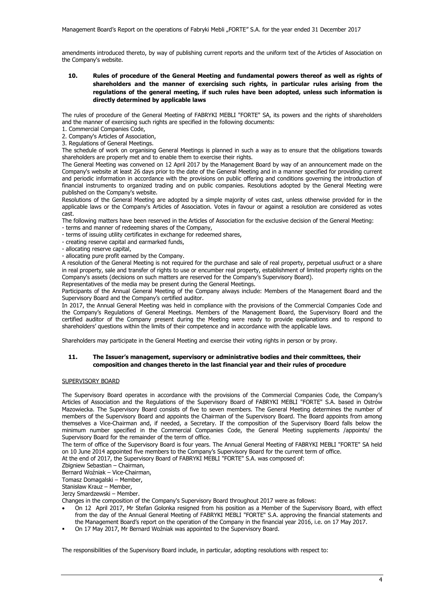amendments introduced thereto, by way of publishing current reports and the uniform text of the Articles of Association on the Company's website.

**10. Rules of procedure of the General Meeting and fundamental powers thereof as well as rights of shareholders and the manner of exercising such rights, in particular rules arising from the regulations of the general meeting, if such rules have been adopted, unless such information is directly determined by applicable laws**

The rules of procedure of the General Meeting of FABRYKI MEBLI "FORTE" SA, its powers and the rights of shareholders and the manner of exercising such rights are specified in the following documents:

1. Commercial Companies Code,

2. Company's Articles of Association,

3. Regulations of General Meetings.

The schedule of work on organising General Meetings is planned in such a way as to ensure that the obligations towards shareholders are properly met and to enable them to exercise their rights.

The General Meeting was convened on 12 April 2017 by the Management Board by way of an announcement made on the Company's website at least 26 days prior to the date of the General Meeting and in a manner specified for providing current and periodic information in accordance with the provisions on public offering and conditions governing the introduction of financial instruments to organized trading and on public companies. Resolutions adopted by the General Meeting were published on the Company's website.

Resolutions of the General Meeting are adopted by a simple majority of votes cast, unless otherwise provided for in the applicable laws or the Company's Articles of Association. Votes in favour or against a resolution are considered as votes cast.

The following matters have been reserved in the Articles of Association for the exclusive decision of the General Meeting:

- terms and manner of redeeming shares of the Company,

- terms of issuing utility certificates in exchange for redeemed shares,

- creating reserve capital and earmarked funds,

- allocating reserve capital,

- allocating pure profit earned by the Company.

A resolution of the General Meeting is not required for the purchase and sale of real property, perpetual usufruct or a share in real property, sale and transfer of rights to use or encumber real property, establishment of limited property rights on the Company's assets (decisions on such matters are reserved for the Company's Supervisory Board).

Representatives of the media may be present during the General Meetings.

Participants of the Annual General Meeting of the Company always include: Members of the Management Board and the Supervisory Board and the Company's certified auditor.

In 2017, the Annual General Meeting was held in compliance with the provisions of the Commercial Companies Code and the Company's Regulations of General Meetings. Members of the Management Board, the Supervisory Board and the certified auditor of the Company present during the Meeting were ready to provide explanations and to respond to shareholders' questions within the limits of their competence and in accordance with the applicable laws.

Shareholders may participate in the General Meeting and exercise their voting rights in person or by proxy.

# **11. The Issuer's management, supervisory or administrative bodies and their committees, their composition and changes thereto in the last financial year and their rules of procedure**

### SUPERVISORY BOARD

The Supervisory Board operates in accordance with the provisions of the Commercial Companies Code, the Company's Articles of Association and the Regulations of the Supervisory Board of FABRYKI MEBLI "FORTE" S.A. based in Ostrów Mazowiecka. The Supervisory Board consists of five to seven members. The General Meeting determines the number of members of the Supervisory Board and appoints the Chairman of the Supervisory Board. The Board appoints from among themselves a Vice-Chairman and, if needed, a Secretary. If the composition of the Supervisory Board falls below the minimum number specified in the Commercial Companies Code, the General Meeting supplements /appoints/ the Supervisory Board for the remainder of the term of office.

The term of office of the Supervisory Board is four years. The Annual General Meeting of FABRYKI MEBLI "FORTE" SA held on 10 June 2014 appointed five members to the Company's Supervisory Board for the current term of office.

At the end of 2017, the Supervisory Board of FABRYKI MEBLI "FORTE" S.A. was composed of:

Zbigniew Sebastian – Chairman,

Bernard Woźniak – Vice-Chairman,

Tomasz Domagalski – Member,

Stanisław Krauz – Member,

Jerzy Smardzewski – Member.

Changes in the composition of the Company's Supervisory Board throughout 2017 were as follows:

- On 12 April 2017, Mr Stefan Golonka resigned from his position as a Member of the Supervisory Board, with effect from the day of the Annual General Meeting of FABRYKI MEBLI "FORTE" S.A. approving the financial statements and the Management Board's report on the operation of the Company in the financial year 2016, i.e. on 17 May 2017.
- On 17 May 2017, Mr Bernard Woźniak was appointed to the Supervisory Board.

The responsibilities of the Supervisory Board include, in particular, adopting resolutions with respect to: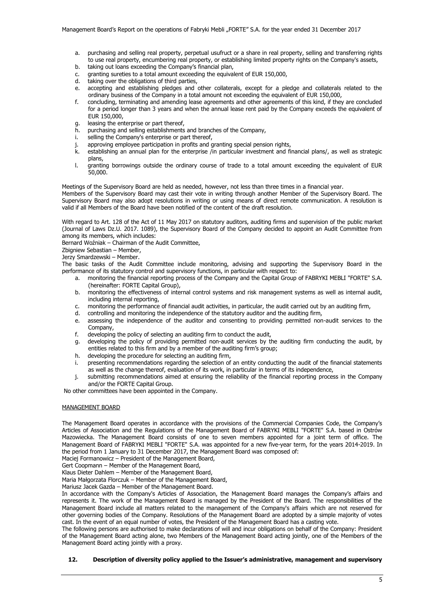- a. purchasing and selling real property, perpetual usufruct or a share in real property, selling and transferring rights to use real property, encumbering real property, or establishing limited property rights on the Company's assets,
- b. taking out loans exceeding the Company's financial plan,
- c. granting sureties to a total amount exceeding the equivalent of EUR 150,000,
- d. taking over the obligations of third parties,
- e. accepting and establishing pledges and other collaterals, except for a pledge and collaterals related to the ordinary business of the Company in a total amount not exceeding the equivalent of EUR 150,000,
- f. concluding, terminating and amending lease agreements and other agreements of this kind, if they are concluded for a period longer than 3 years and when the annual lease rent paid by the Company exceeds the equivalent of EUR 150,000,
- g. leasing the enterprise or part thereof,<br>h. purchasing and selling establishments
- purchasing and selling establishments and branches of the Company,
- i. selling the Company's enterprise or part thereof,
- j. approving employee participation in profits and granting special pension rights, establishing an annual plan for the enterprise /in particular investment and fi
- establishing an annual plan for the enterprise /in particular investment and financial plans/, as well as strategic plans,
- l. granting borrowings outside the ordinary course of trade to a total amount exceeding the equivalent of EUR 50,000.

Meetings of the Supervisory Board are held as needed, however, not less than three times in a financial year.

Members of the Supervisory Board may cast their vote in writing through another Member of the Supervisory Board. The Supervisory Board may also adopt resolutions in writing or using means of direct remote communication. A resolution is valid if all Members of the Board have been notified of the content of the draft resolution.

With regard to Art. 128 of the Act of 11 May 2017 on statutory auditors, auditing firms and supervision of the public market (Journal of Laws Dz.U. 2017. 1089), the Supervisory Board of the Company decided to appoint an Audit Committee from among its members, which includes:

Bernard Woźniak – Chairman of the Audit Committee,

Zbigniew Sebastian – Member,

Jerzy Smardzewski – Member.

The basic tasks of the Audit Committee include monitoring, advising and supporting the Supervisory Board in the performance of its statutory control and supervisory functions, in particular with respect to:

- a. monitoring the financial reporting process of the Company and the Capital Group of FABRYKI MEBLI "FORTE" S.A. (hereinafter: FORTE Capital Group),
- b. monitoring the effectiveness of internal control systems and risk management systems as well as internal audit, including internal reporting,
- c. monitoring the performance of financial audit activities, in particular, the audit carried out by an auditing firm,
- d. controlling and monitoring the independence of the statutory auditor and the auditing firm,
- e. assessing the independence of the auditor and consenting to providing permitted non-audit services to the Company,
- f. developing the policy of selecting an auditing firm to conduct the audit,
- g. developing the policy of providing permitted non-audit services by the auditing firm conducting the audit, by entities related to this firm and by a member of the auditing firm's group;
- h. developing the procedure for selecting an auditing firm,
- i. presenting recommendations regarding the selection of an entity conducting the audit of the financial statements as well as the change thereof, evaluation of its work, in particular in terms of its independence,
- j. submitting recommendations aimed at ensuring the reliability of the financial reporting process in the Company and/or the FORTE Capital Group.

No other committees have been appointed in the Company.

#### MANAGEMENT BOARD

The Management Board operates in accordance with the provisions of the Commercial Companies Code, the Company's Articles of Association and the Regulations of the Management Board of FABRYKI MEBLI "FORTE" S.A. based in Ostrów Mazowiecka. The Management Board consists of one to seven members appointed for a joint term of office. The Management Board of FABRYKI MEBLI "FORTE" S.A. was appointed for a new five-year term, for the years 2014-2019. In the period from 1 January to 31 December 2017, the Management Board was composed of:

Maciej Formanowicz – President of the Management Board,

Gert Coopmann – Member of the Management Board,

Klaus Dieter Dahlem – Member of the Management Board,

Maria Małgorzata Florczuk – Member of the Management Board,

Mariusz Jacek Gazda – Member of the Management Board.

In accordance with the Company's Articles of Association, the Management Board manages the Company's affairs and represents it. The work of the Management Board is managed by the President of the Board. The responsibilities of the Management Board include all matters related to the management of the Company's affairs which are not reserved for other governing bodies of the Company. Resolutions of the Management Board are adopted by a simple majority of votes cast. In the event of an equal number of votes, the President of the Management Board has a casting vote.

The following persons are authorised to make declarations of will and incur obligations on behalf of the Company: President of the Management Board acting alone, two Members of the Management Board acting jointly, one of the Members of the Management Board acting jointly with a proxy.

# **12. Description of diversity policy applied to the Issuer's administrative, management and supervisory**